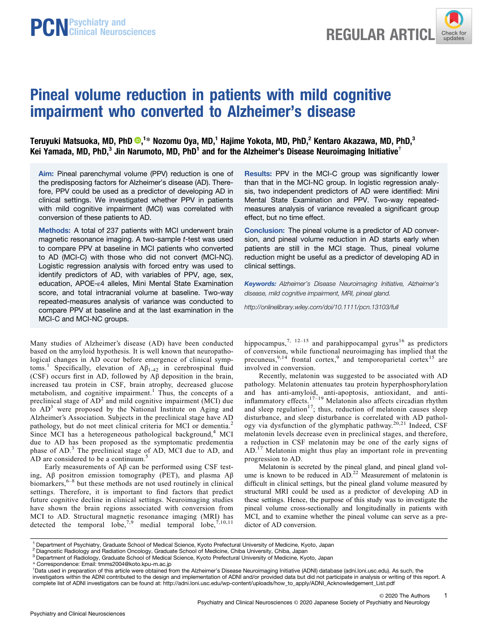

# Pineal volume reduction in patients with mild cognitive impairment who converted to Alzheimer's disease

Teruyuki Matsuoka[,](https://orcid.org/0000-0001-7683-7825) MD, PhD  $\mathbf{\Theta},^{1*}$  Nozomu Oya, MD, $^1$  Hajime Yokota, MD, PhD, $^2$  Kentaro Akazawa, MD, PhD, $^3$ Kei Yamada, MD, PhD,<sup>3</sup> Jin Narumoto, MD, PhD<sup>1</sup> and for the Alzheimer's Disease Neuroimaging Initiative<sup>†</sup>

Aim: Pineal parenchymal volume (PPV) reduction is one of the predisposing factors for Alzheimer's disease (AD). Therefore, PPV could be used as a predictor of developing AD in clinical settings. We investigated whether PPV in patients with mild cognitive impairment (MCI) was correlated with conversion of these patients to AD.

Methods: A total of 237 patients with MCI underwent brain magnetic resonance imaging. A two-sample t-test was used to compare PPV at baseline in MCI patients who converted to AD (MCI-C) with those who did not convert (MCI-NC). Logistic regression analysis with forced entry was used to identify predictors of AD, with variables of PPV, age, sex, education, APOE-ε4 alleles, Mini Mental State Examination score, and total intracranial volume at baseline. Two-way repeated-measures analysis of variance was conducted to compare PPV at baseline and at the last examination in the MCI-C and MCI-NC groups.

Many studies of Alzheimer's disease (AD) have been conducted based on the amyloid hypothesis. It is well known that neuropathological changes in AD occur before emergence of clinical symptoms.<sup>1</sup> Specifically, elevation of  $A\beta_{1-42}$  in cerebrospinal fluid (CSF) occurs first in AD, followed by Aβ deposition in the brain, increased tau protein in CSF, brain atrophy, decreased glucose metabolism, and cognitive impairment.<sup>1</sup> Thus, the concepts of a preclinical stage of  $AD^2$  and mild cognitive impairment (MCI) due to  $AD<sup>3</sup>$  were proposed by the National Institute on Aging and Alzheimer's Association. Subjects in the preclinical stage have AD pathology, but do not meet clinical criteria for MCI or dementia.<sup>2</sup> Since MCI has a heterogeneous pathological background, $4$  MCI due to AD has been proposed as the symptomatic predementia phase of AD.<sup>3</sup> The preclinical stage of AD, MCI due to AD, and AD are considered to be a continuum.<sup>5</sup>

Early measurements of Aβ can be performed using CSF testing, Aβ positron emission tomography (PET), and plasma Aβ biomarkers,<sup>6–8</sup> but these methods are not used routinely in clinical settings. Therefore, it is important to find factors that predict future cognitive decline in clinical settings. Neuroimaging studies have shown the brain regions associated with conversion from MCI to AD. Structural magnetic resonance imaging (MRI) has detected the temporal  $\overline{lobe}^{7,9}$  medial temporal  $\overline{lobe}^{7,10,11}$  Results: PPV in the MCI-C group was significantly lower than that in the MCI-NC group. In logistic regression analysis, two independent predictors of AD were identified: Mini Mental State Examination and PPV. Two-way repeatedmeasures analysis of variance revealed a significant group effect, but no time effect.

Conclusion: The pineal volume is a predictor of AD conversion, and pineal volume reduction in AD starts early when patients are still in the MCI stage. Thus, pineal volume reduction might be useful as a predictor of developing AD in clinical settings.

Keywords: Alzheimer's Disease Neuroimaging Initiative, Alzheimer's disease, mild cognitive impairment, MRI, pineal gland.

<http://onlinelibrary.wiley.com/doi/10.1111/pcn.13103/full>

hippocampus,<sup>7, 12–15</sup> and parahippocampal gyrus<sup>16</sup> as predictors of conversion, while functional neuroimaging has implied that the precuneus,  $9,14$  frontal cortex, and temporoparietal cortex<sup>15</sup> are involved in conversion.

Recently, melatonin was suggested to be associated with AD pathology. Melatonin attenuates tau protein hyperphosphorylation and has anti-amyloid, anti-apoptosis, antioxidant, and antiinflammatory effects.<sup>17-19</sup> Melatonin also affects circadian rhythm and sleep regulation<sup>17</sup>; thus, reduction of melatonin causes sleep disturbance, and sleep disturbance is correlated with AD pathology via dysfunction of the glymphatic pathway.20,21 Indeed, CSF melatonin levels decrease even in preclinical stages, and therefore, a reduction in CSF melatonin may be one of the early signs of AD.<sup>17</sup> Melatonin might thus play an important role in preventing progression to AD.

Melatonin is secreted by the pineal gland, and pineal gland volume is known to be reduced in  $AD<sup>22</sup>$  Measurement of melatonin is difficult in clinical settings, but the pineal gland volume measured by structural MRI could be used as a predictor of developing AD in these settings. Hence, the purpose of this study was to investigate the pineal volume cross-sectionally and longitudinally in patients with MCI, and to examine whether the pineal volume can serve as a predictor of AD conversion.

1

<sup>1</sup> Department of Psychiatry, Graduate School of Medical Science, Kyoto Prefectural University of Medicine, Kyoto, Japan

<sup>&</sup>lt;sup>2</sup> Diagnostic Radiology and Radiation Oncology, Graduate School of Medicine, Chiba University, Chiba, Japan

<sup>&</sup>lt;sup>3</sup> Department of Radiology, Graduate School of Medical Science, Kyoto Prefectural University of Medicine, Kyoto, Japan

<sup>\*</sup> Correspondence: Email: tmms2004@koto.kpu-m.ac.jp †

<sup>&</sup>lt;sup>†</sup>Data used in preparation of this article were obtained from the Alzheimer's Disease Neuroimaging Initiative (ADNI) database (adni.loni.usc.edu). As such, the investigators within the ADNI contributed to the design and implementation of ADNI and/or provided data but did not participate in analysis or writing of this report. A complete list of ADNI investigators can be found at: [http://adni.loni.usc.edu/wp-content/uploads/how\\_to\\_apply/ADNI\\_Acknowledgement\\_List.pdf](http://adni.loni.usc.edu/wp-content/uploads/how_to_apply/ADNI_Acknowledgement_List.pdf)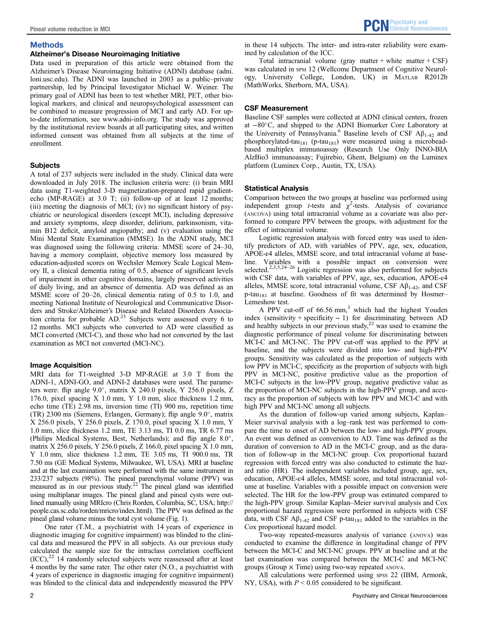# **Methods**

# Alzheimer's Disease Neuroimaging Initiative

Data used in preparation of this article were obtained from the Alzheimer's Disease Neuroimaging Initiative (ADNI) database ([adni.](http://adni.loni.usc.edu) [loni.usc.edu\)](http://adni.loni.usc.edu). The ADNI was launched in 2003 as a public–private partnership, led by Principal Investigator Michael W. Weiner. The primary goal of ADNI has been to test whether MRI, PET, other biological markers, and clinical and neuropsychological assessment can be combined to measure progression of MCI and early AD. For upto-date information, see [www.adni-info.org](http://www.adni-info.org). The study was approved by the institutional review boards at all participating sites, and written informed consent was obtained from all subjects at the time of enrollment.

# **Subjects**

A total of 237 subjects were included in the study. Clinical data were downloaded in July 2018. The inclusion criteria were: (i) brain MRI data using T1-weighted 3-D magnetization-prepared rapid gradientecho (MP-RAGE) at 3.0 T; (ii) follow-up of at least 12 months; (iii) meeting the diagnosis of MCI; (iv) no significant history of psychiatric or neurological disorders (except MCI), including depressive and anxiety symptoms, sleep disorder, delirium, parkinsonism, vitamin B12 deficit, amyloid angiopathy; and (v) evaluation using the Mini Mental State Examination (MMSE). In the ADNI study, MCI was diagnosed using the following criteria: MMSE score of 24–30, having a memory complaint, objective memory loss measured by education-adjusted scores on Wechsler Memory Scale Logical Memory II, a clinical dementia rating of 0.5, absence of significant levels of impairment in other cognitive domains, largely preserved activities of daily living, and an absence of dementia. AD was defined as an MSME score of 20–26, clinical dementia rating of 0.5 to 1.0, and meeting National Institute of Neurological and Communicative Disorders and Stroke/Alzheimer's Disease and Related Disorders Association criteria for probable  $AD<sup>23</sup>$  Subjects were assessed every 6 to 12 months. MCI subjects who converted to AD were classified as MCI converted (MCI-C), and those who had not converted by the last examination as MCI not converted (MCI-NC).

## Image Acquisition

MRI data for T1-weighted 3-D MP-RAGE at 3.0 T from the ADNI-1, ADNI-GO, and ADNI-2 databases were used. The parameters were: flip angle  $9.0^{\circ}$ , matrix X 240.0 pixels, Y 256.0 pixels, Z 176.0, pixel spacing X 1.0 mm, Y 1.0 mm, slice thickness 1.2 mm, echo time (TE) 2.98 ms, inversion time (TI) 900 ms, repetition time (TR) 2300 ms (Siemens, Erlangen, Germany); flip angle  $9.0^{\circ}$ , matrix X 256.0 pixels, Y 256.0 pixels, Z 170.0, pixel spacing X 1.0 mm, Y 1.0 mm, slice thickness 1.2 mm, TE 3.13 ms, TI 0.0 ms, TR 6.77 ms (Philips Medical Systems, Best, Netherlands); and flip angle  $8.0^{\circ}$ , matrix X 256.0 pixels, Y 256.0 pixels, Z 166.0, pixel spacing X 1.0 mm, Y 1.0 mm, slice thickness 1.2 mm, TE 3.05 ms, TI 900.0 ms, TR 7.50 ms (GE Medical Systems, Milwaukee, WI, USA). MRI at baseline and at the last examination were performed with the same instrument in 233/237 subjects (98%). The pineal parenchymal volume (PPV) was measured as in our previous study.<sup>22</sup> The pineal gland was identified using multiplanar images. The pineal gland and pineal cysts were outlined manually using MRIcro (Chris Rorden, Columbia, SC, USA; [http://](http://people.cas.sc.edu/rorden/mricro/index.html) [people.cas.sc.edu/rorden/mricro/index.html](http://people.cas.sc.edu/rorden/mricro/index.html)). The PPV was defined as the pineal gland volume minus the total cyst volume (Fig. 1).

One rater (T.M., a psychiatrist with 14 years of experience in diagnostic imaging for cognitive impairment) was blinded to the clinical data and measured the PPV in all subjects. As our previous study calculated the sample size for the intraclass correlation coefficient  $(ICC)$ ,<sup>22</sup> 14 randomly selected subjects were reassessed after at least 4 months by the same rater. The other rater (N.O., a psychiatrist with 4 years of experience in diagnostic imaging for cognitive impairment) was blinded to the clinical data and independently measured the PPV in these 14 subjects. The inter- and intra-rater reliability were examined by calculation of the ICC.

Total intracranial volume (gray matter + white matter + CSF) was calculated in SPM 12 (Wellcome Department of Cognitive Neurology, University College, London, UK) in MATLAB R2012b (MathWorks, Sherborn, MA, USA).

# CSF Measurement

Baseline CSF samples were collected at ADNI clinical centers, frozen at −80C, and shipped to the ADNI Biomarker Core Laboratory at the University of Pennsylvania.<sup>6</sup> Baseline levels of CSF  $A\beta_{1-42}$  and phosphorylated-tau<sub>181</sub> (p-tau<sub>181</sub>) were measured using a microbeadbased multiplex immunoassay (Research Use Only INNO-BIA AlzBio3 immunoassay; Fujirebio, Ghent, Belgium) on the Luminex platform (Luminex Corp., Austin, TX, USA).

# Statistical Analysis

Comparison between the two groups at baseline was performed using independent group *t*-tests and  $\chi^2$ -tests. Analysis of covariance (ANCOVA) using total intracranial volume as a covariate was also performed to compare PPV between the groups, with adjustment for the effect of intracranial volume.

Logistic regression analysis with forced entry was used to identify predictors of AD, with variables of PPV, age, sex, education, APOE-ε4 alleles, MMSE score, and total intracranial volume at baseline. Variables with a possible impact on conversion were selected.<sup>2,3,5,24–26</sup> Logistic regression was also performed for subjects with CSF data, with variables of PPV, age, sex, education, APOE-ε4 alleles, MMSE score, total intracranial volume, CSF  $\mathbf{A}\beta_{1-42}$ , and CSF p-tau<sub>181</sub> at baseline. Goodness of fit was determined by Hosmer– Lemeshow test.

A PPV cut-off of  $66.56$  mm,<sup>3</sup> which had the highest Youden index (sensitivity + specificity − 1) for discriminating between AD and healthy subjects in our previous study, $2^2$  was used to examine the diagnostic performance of pineal volume for discriminating between MCI-C and MCI-NC. The PPV cut-off was applied to the PPV at baseline, and the subjects were divided into low- and high-PPV groups. Sensitivity was calculated as the proportion of subjects with low PPV in MCI-C, specificity as the proportion of subjects with high PPV in MCI-NC, positive predictive value as the proportion of MCI-C subjects in the low-PPV group, negative predictive value as the proportion of MCI-NC subjects in the high-PPV group, and accuracy as the proportion of subjects with low PPV and MCI-C and with high PPV and MCI-NC among all subjects.

As the duration of follow-up varied among subjects, Kaplan– Meier survival analysis with a log–rank test was performed to compare the time to onset of AD between the low- and high-PPV groups. An event was defined as conversion to AD. Time was defined as the duration of conversion to AD in the MCI-C group, and as the duration of follow-up in the MCI-NC group. Cox proportional hazard regression with forced entry was also conducted to estimate the hazard ratio (HR). The independent variables included group, age, sex, education, APOE-ε4 alleles, MMSE score, and total intracranial volume at baseline. Variables with a possible impact on conversion were selected. The HR for the low-PPV group was estimated compared to the high-PPV group. Similar Kaplan–Meier survival analysis and Cox proportional hazard regression were performed in subjects with CSF data, with CSF  $\mathbf{A}\beta_{1-42}$  and CSF p-tau<sub>181</sub> added to the variables in the Cox proportional hazard model.

Two-way repeated-measures analysis of variance (ANOVA) was conducted to examine the difference in longitudinal change of PPV between the MCI-C and MCI-NC groups. PPV at baseline and at the last examination was compared between the MCI-C and MCI-NC groups (Group  $\times$  Time) using two-way repeated ANOVA.

All calculations were performed using spss 22 (IBM, Armonk, NY, USA), with  $P \le 0.05$  considered to be significant.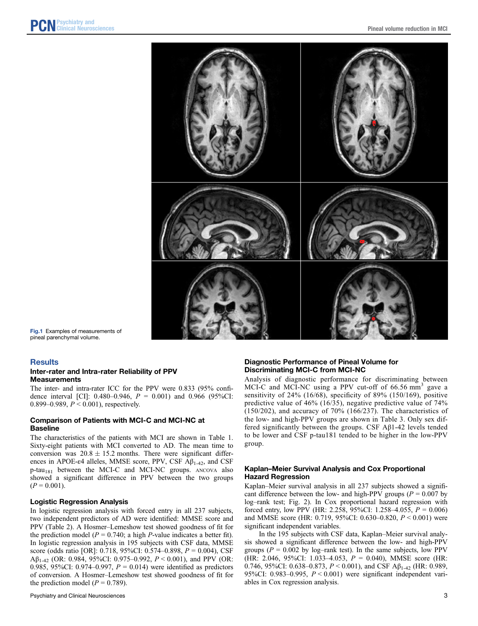

Fig.1 Examples of measurements of pineal parenchymal volume.

## **Results**

## Inter-rater and Intra-rater Reliability of PPV **Measurements**

The inter- and intra-rater ICC for the PPV were 0.833 (95% confidence interval [CI]:  $0.480 - 0.946$ ,  $P = 0.001$ ) and  $0.966$  (95%CI: 0.899–0.989,  $P < 0.001$ ), respectively.

## Comparison of Patients with MCI-C and MCI-NC at Baseline

The characteristics of the patients with MCI are shown in Table 1. Sixty-eight patients with MCI converted to AD. The mean time to conversion was  $20.8 \pm 15.2$  months. There were significant differences in APOE- $\epsilon$ 4 alleles, MMSE score, PPV, CSF A $\beta$ <sub>1-42</sub>, and CSF  $p$ -tau<sub>181</sub> between the MCI-C and MCI-NC groups. ANCOVA also showed a significant difference in PPV between the two groups  $(P = 0.001)$ .

## Logistic Regression Analysis

In logistic regression analysis with forced entry in all 237 subjects, two independent predictors of AD were identified: MMSE score and PPV (Table 2). A Hosmer–Lemeshow test showed goodness of fit for the prediction model ( $P = 0.740$ ; a high P-value indicates a better fit). In logistic regression analysis in 195 subjects with CSF data, MMSE score (odds ratio [OR]: 0.718, 95%CI: 0.574–0.898, P = 0.004), CSF Aβ<sub>1-42</sub> (OR: 0.984, 95%CI: 0.975–0.992,  $P < 0.001$ ), and PPV (OR: 0.985, 95%CI: 0.974–0.997,  $P = 0.014$ ) were identified as predictors of conversion. A Hosmer–Lemeshow test showed goodness of fit for the prediction model ( $P = 0.789$ ).

# Diagnostic Performance of Pineal Volume for Discriminating MCI-C from MCI-NC

Analysis of diagnostic performance for discriminating between MCI-C and MCI-NC using a PPV cut-off of  $66.56 \text{ mm}^3$  gave a sensitivity of 24% (16/68), specificity of 89% (150/169), positive predictive value of 46% (16/35), negative predictive value of 74% (150/202), and accuracy of 70% (166/237). The characteristics of the low- and high-PPV groups are shown in Table 3. Only sex differed significantly between the groups. CSF Aβ1-42 levels tended to be lower and CSF p-tau181 tended to be higher in the low-PPV group.

# Kaplan–Meier Survival Analysis and Cox Proportional Hazard Regression

Kaplan–Meier survival analysis in all 237 subjects showed a significant difference between the low- and high-PPV groups ( $P = 0.007$  by log–rank test; Fig. 2). In Cox proportional hazard regression with forced entry, low PPV (HR: 2.258, 95%CI: 1.258–4.055,  $P = 0.006$ ) and MMSE score (HR: 0.719, 95%CI: 0.630–0.820,  $P \le 0.001$ ) were significant independent variables.

In the 195 subjects with CSF data, Kaplan–Meier survival analysis showed a significant difference between the low- and high-PPV groups ( $P = 0.002$  by log-rank test). In the same subjects, low PPV (HR: 2.046, 95%CI: 1.033-4.053,  $P = 0.040$ ), MMSE score (HR: 0.746, 95%CI: 0.638–0.873,  $P < 0.001$ ), and CSF A $\beta_{1-42}$  (HR: 0.989, 95%CI: 0.983–0.995, P < 0.001) were significant independent variables in Cox regression analysis.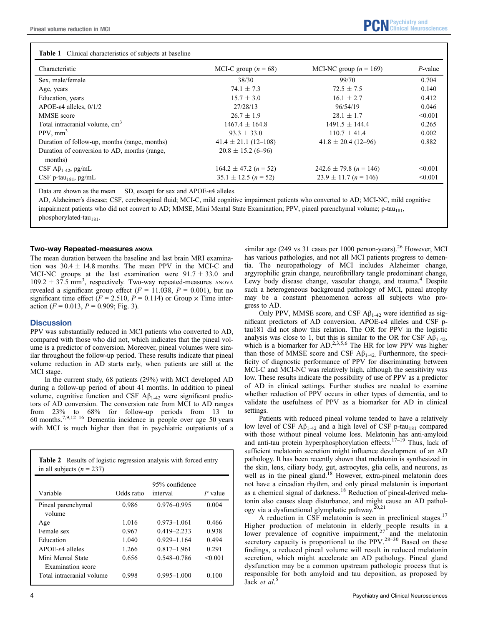| <b>Table 1</b> Clinical characteristics of subjects at baseline |                           |                            |            |
|-----------------------------------------------------------------|---------------------------|----------------------------|------------|
| Characteristic                                                  | MCI-C group ( $n = 68$ )  | MCI-NC group ( $n = 169$ ) | $P$ -value |
| Sex, male/female                                                | 38/30                     | 99/70                      | 0.704      |
| Age, years                                                      | $74.1 \pm 7.3$            | $72.5 \pm 7.5$             | 0.140      |
| Education, years                                                | $15.7 \pm 3.0$            | $16.1 \pm 2.7$             | 0.412      |
| APOE- $\varepsilon$ 4 alleles, 0/1/2                            | 27/28/13                  | 96/54/19                   | 0.046      |
| MMSE score                                                      | $26.7 + 1.9$              | $28.1 + 1.7$               | < 0.001    |
| Total intracranial volume, cm <sup>3</sup>                      | $1467.4 \pm 164.8$        | $1491.5 \pm 144.4$         | 0.265      |
| $PPV, \text{mm}^3$                                              | $93.3 + 33.0$             | $110.7 \pm 41.4$           | 0.002      |
| Duration of follow-up, months (range, months)                   | $41.4 \pm 21.1(12 - 108)$ | $41.8 \pm 20.4$ (12-96)    | 0.882      |
| Duration of conversion to AD, months (range,<br>months)         | $20.8 \pm 15.2$ (6-96)    |                            |            |
| CSF $\mathbf{A}\beta_{1-42}$ , pg/mL                            | $164.2 \pm 47.2$ (n = 52) | $242.6 \pm 79.8$ (n = 146) | < 0.001    |
| CSF p-tau <sub>181</sub> , pg/mL                                | $35.1 \pm 12.5$ (n = 52)  | $23.9 \pm 11.7$ (n = 146)  | < 0.001    |

Data are shown as the mean  $\pm$  SD, except for sex and APOE- $\epsilon$ 4 alleles.

AD, Alzheimer's disease; CSF, cerebrospinal fluid; MCI-C, mild cognitive impairment patients who converted to AD; MCI-NC, mild cognitive impairment patients who did not convert to AD; MMSE, Mini Mental State Examination; PPV, pineal parenchymal volume; p-tau<sub>181</sub>, phosphorylated-tau<sub>181</sub>.

# Two-way Repeated-measures ANOVA

The mean duration between the baseline and last brain MRI examination was  $30.4 \pm 14.8$  months. The mean PPV in the MCI-C and MCI-NC groups at the last examination were  $91.7 \pm 33.0$  and  $109.2 \pm 37.5$  mm<sup>3</sup>, respectively. Two-way repeated-measures ANOVA revealed a significant group effect ( $F = 11.038$ ,  $P = 0.001$ ), but no significant time effect ( $F = 2.510$ ,  $P = 0.114$ ) or Group  $\times$  Time interaction ( $F = 0.013$ ,  $P = 0.909$ ; Fig. 3).

# **Discussion**

PPV was substantially reduced in MCI patients who converted to AD, compared with those who did not, which indicates that the pineal volume is a predictor of conversion. Moreover, pineal volumes were similar throughout the follow-up period. These results indicate that pineal volume reduction in AD starts early, when patients are still at the MCI stage.

In the current study, 68 patients (29%) with MCI developed AD during a follow-up period of about 41 months. In addition to pineal volume, cognitive function and CSF  $Aβ_{1-42}$  were significant predictors of AD conversion. The conversion rate from MCI to AD ranges from 23% to  $68\%$  for follow-up periods from 13 to 60 months.<sup>7,9,12–16</sup> Dementia incidence in people over age 50 years with MCI is much higher than that in psychiatric outpatients of a

|                             |            | 95% confidence  |           |
|-----------------------------|------------|-----------------|-----------|
| Variable                    | Odds ratio | interval        | $P$ value |
| Pineal parenchymal          | 0.986      | $0.976 - 0.995$ | 0.004     |
| volume                      |            |                 |           |
| Age                         | 1.016      | $0.973 - 1.061$ | 0.466     |
| Female sex                  | 0.967      | $0.419 - 2.233$ | 0.938     |
| Education                   | 1.040      | 0.929-1.164     | 0.494     |
| APOE- <sub>84</sub> alleles | 1.266      | $0.817 - 1.961$ | 0.291     |
| Mini Mental State           | 0.656      | 0.548-0.786     | < 0.001   |

similar age (249 vs 31 cases per 1000 person-years).<sup>26</sup> However, MCI has various pathologies, and not all MCI patients progress to dementia. The neuropathology of MCI includes Alzheimer change, argyrophilic grain change, neurofibrillary tangle predominant change, Lewy body disease change, vascular change, and trauma.<sup>4</sup> Despite such a heterogeneous background pathology of MCI, pineal atrophy may be a constant phenomenon across all subjects who progress to AD.

Only PPV, MMSE score, and CSF  $\mathbf{A}\beta_{1-42}$  were identified as significant predictors of AD conversion. APOE-ε4 alleles and CSF ptau181 did not show this relation. The OR for PPV in the logistic analysis was close to 1, but this is similar to the OR for CSF  $\mathbf{A}\mathbf{\beta}_{1-42}$ , which is a biomarker for AD.<sup>2,3,5,6</sup> The HR for low PPV was higher than those of MMSE score and CSF  $A\beta_{1-42}$ . Furthermore, the specificity of diagnostic performance of PPV for discriminating between MCI-C and MCI-NC was relatively high, although the sensitivity was low. These results indicate the possibility of use of PPV as a predictor of AD in clinical settings. Further studies are needed to examine whether reduction of PPV occurs in other types of dementia, and to validate the usefulness of PPV as a biomarker for AD in clinical settings.

Patients with reduced pineal volume tended to have a relatively low level of CSF  $A\beta_{1-42}$  and a high level of CSF p-tau<sub>181</sub> compared with those without pineal volume loss. Melatonin has anti-amyloid and anti-tau protein hyperphosphorylation effects.<sup>17–19</sup> Thus, lack of sufficient melatonin secretion might influence development of an AD pathology. It has been recently shown that melatonin is synthesized in the skin, lens, ciliary body, gut, astrocytes, glia cells, and neurons, as well as in the pineal gland.<sup>18</sup> However, extra-pineal melatonin does not have a circadian rhythm, and only pineal melatonin is important as a chemical signal of darkness.<sup>18</sup> Reduction of pineal-derived melatonin also causes sleep disturbance, and might cause an AD pathol-<br>sources a disturbance clumplatic pathway  $^{20,21}$ ogy via a dysfunctional glymphatic pathway.<sup>2</sup>

A reduction in CSF melatonin is seen in preclinical stages.<sup>17</sup> Higher production of melatonin in elderly people results in a lower prevalence of cognitive impairment,<sup>27</sup> and the melatonin secretory capacity is proportional to the PPV.<sup>28–30</sup> Based on these findings, a reduced pineal volume will result in reduced melatonin secretion, which might accelerate an AD pathology. Pineal gland dysfunction may be a common upstream pathologic process that is responsible for both amyloid and tau deposition, as proposed by Jack et al.<sup>5</sup>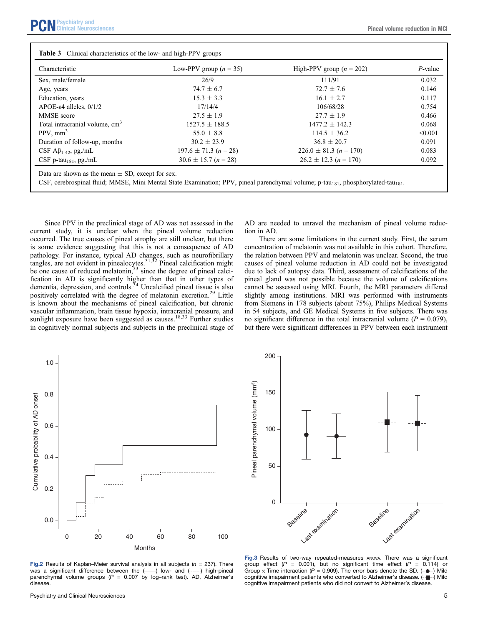| Clinical Neurosciences<br>VIIIIIVAI NUULUOUIUIIVUO | <b>Pineal volume reduction in MCI</b> |
|----------------------------------------------------|---------------------------------------|
|----------------------------------------------------|---------------------------------------|

| Characteristic                             | Low-PPV group $(n = 35)$  | High-PPV group $(n = 202)$ | $P$ -value |
|--------------------------------------------|---------------------------|----------------------------|------------|
| Sex, male/female                           | 26/9                      | 111/91                     | 0.032      |
| Age, years                                 | $74.7 \pm 6.7$            | $72.7 \pm 7.6$             | 0.146      |
| Education, years                           | $15.3 + 3.3$              | $16.1 + 2.7$               | 0.117      |
| APOE- $\varepsilon$ 4 alleles, 0/1/2       | 17/14/4                   | 106/68/28                  | 0.754      |
| MMSE score                                 | $27.5 + 1.9$              | $27.7 + 1.9$               | 0.466      |
| Total intracranial volume, cm <sup>3</sup> | $1527.5 \pm 188.5$        | $1477.2 \pm 142.3$         | 0.068      |
| $PPV, \text{mm}^3$                         | $55.0 \pm 8.8$            | $114.5 \pm 36.2$           | < 0.001    |
| Duration of follow-up, months              | $30.2 \pm 23.9$           | $36.8 \pm 20.7$            | 0.091      |
| CSF $\mathbf{A}\beta_{1-42}$ , pg./mL      | $197.6 \pm 71.3$ (n = 28) | $226.0 \pm 81.3$ (n = 170) | 0.083      |
| CSF p-tau <sub>181</sub> , pg./mL          | $30.6 \pm 15.7$ (n = 28)  | $26.2 \pm 12.3$ (n = 170)  | 0.092      |

CSF, cerebrospinal fluid; MMSE, Mini Mental State Examination; PPV, pineal parenchymal volume; p-tau<sub>181</sub>, phosphorylated-tau<sub>181</sub>.

Since PPV in the preclinical stage of AD was not assessed in the current study, it is unclear when the pineal volume reduction occurred. The true causes of pineal atrophy are still unclear, but there is some evidence suggesting that this is not a consequence of AD pathology. For instance, typical AD changes, such as neurofibrillary tangles, are not evident in pinealocytes.<sup>31,32</sup> Pineal calcification might be one cause of reduced melatonin,<sup>33</sup> since the degree of pineal calcification in AD is significantly higher than that in other types of dementia, depression, and controls.<sup>34</sup> Uncalcified pineal tissue is also positively correlated with the degree of melatonin excretion.29 Little is known about the mechanisms of pineal calcification, but chronic vascular inflammation, brain tissue hypoxia, intracranial pressure, and sunlight exposure have been suggested as causes.<sup>18,33</sup> Further studies in cognitively normal subjects and subjects in the preclinical stage of

AD are needed to unravel the mechanism of pineal volume reduction in AD.

There are some limitations in the current study. First, the serum concentration of melatonin was not available in this cohort. Therefore, the relation between PPV and melatonin was unclear. Second, the true causes of pineal volume reduction in AD could not be investigated due to lack of autopsy data. Third, assessment of calcifications of the pineal gland was not possible because the volume of calcifications cannot be assessed using MRI. Fourth, the MRI parameters differed slightly among institutions. MRI was performed with instruments from Siemens in 178 subjects (about 75%), Philips Medical Systems in 54 subjects, and GE Medical Systems in five subjects. There was no significant difference in the total intracranial volume ( $P = 0.079$ ), but there were significant differences in PPV between each instrument



Fig.2 Results of Kaplan–Meier survival analysis in all subjects ( $n = 237$ ). There was a significant difference between the  $($ ----) low- and  $($ ------) high-pineal parenchymal volume groups ( $P = 0.007$  by log-rank test). AD, Alzheimer's disease.



Fig.3 Results of two-way repeated-measures ANOVA. There was a significant group effect ( $P = 0.001$ ), but no significant time effect ( $P = 0.114$ ) or Group x Time interaction (P = 0.909). The error bars denote the SD. ( $\rightarrow$ ) Mild cognitive imapairment patients who converted to Alzheimer's disease. (- $\blacksquare$ -) Mild cognitive imapairment patients who did not convert to Alzheimer's disease.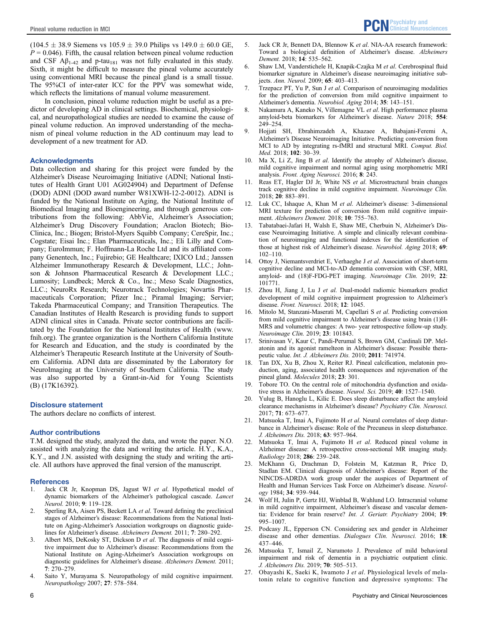$(104.5 \pm 38.9 \text{ Siemens vs } 105.9 \pm 39.0 \text{ Phillips vs } 149.0 \pm 60.0 \text{ GE},$  $P = 0.046$ ). Fifth, the causal relation between pineal volume reduction and CSF  $A\beta_{1-42}$  and p-tau<sub>181</sub> was not fully evaluated in this study. Sixth, it might be difficult to measure the pineal volume accurately using conventional MRI because the pineal gland is a small tissue. The 95%CI of inter-rater ICC for the PPV was somewhat wide, which reflects the limitations of manual volume measurement.

In conclusion, pineal volume reduction might be useful as a predictor of developing AD in clinical settings. Biochemical, physiological, and neuropathological studies are needed to examine the cause of pineal volume reduction. An improved understanding of the mechanism of pineal volume reduction in the AD continuum may lead to development of a new treatment for AD.

#### Acknowledgments

Data collection and sharing for this project were funded by the Alzheimer's Disease Neuroimaging Initiative (ADNI; National Institutes of Health Grant U01 AG024904) and Department of Defense (DOD) ADNI (DOD award number W81XWH-12-2-0012). ADNI is funded by the National Institute on Aging, the National Institute of Biomedical Imaging and Bioengineering, and through generous contributions from the following: AbbVie, Alzheimer's Association; Alzheimer's Drug Discovery Foundation; Araclon Biotech; Bio-Clinica, Inc.; Biogen; Bristol-Myers Squibb Company; CereSpir, Inc.; Cogstate; Eisai Inc.; Elan Pharmaceuticals, Inc.; Eli Lilly and Company; EuroImmun; F. Hoffmann-La Roche Ltd and its affiliated company Genentech, Inc.; Fujirebio; GE Healthcare; IXICO Ltd.; Janssen Alzheimer Immunotherapy Research & Development, LLC.; Johnson & Johnson Pharmaceutical Research & Development LLC.; Lumosity; Lundbeck; Merck & Co., Inc.; Meso Scale Diagnostics, LLC.; NeuroRx Research; Neurotrack Technologies; Novartis Pharmaceuticals Corporation; Pfizer Inc.; Piramal Imaging; Servier; Takeda Pharmaceutical Company; and Transition Therapeutics. The Canadian Institutes of Health Research is providing funds to support ADNI clinical sites in Canada. Private sector contributions are facilitated by the Foundation for the National Institutes of Health ([www.](http://www.fnih.org) [fnih.org](http://www.fnih.org)). The grantee organization is the Northern California Institute for Research and Education, and the study is coordinated by the Alzheimer's Therapeutic Research Institute at the University of Southern California. ADNI data are disseminated by the Laboratory for NeuroImaging at the University of Southern California. The study was also supported by a Grant-in-Aid for Young Scientists (B) (17K16392).

#### Disclosure statement

The authors declare no conflicts of interest.

#### Author contributions

T.M. designed the study, analyzed the data, and wrote the paper. N.O. assisted with analyzing the data and writing the article. H.Y., K.A., K.Y., and J.N. assisted with designing the study and writing the article. All authors have approved the final version of the manuscript.

#### **References**

- 1. Jack CR Jr, Knopman DS, Jagust WJ et al. Hypothetical model of dynamic biomarkers of the Alzheimer's pathological cascade. Lancet Neurol. 2010; 9: 119–128.
- 2. Sperling RA, Aisen PS, Beckett LA et al. Toward defining the preclinical stages of Alzheimer's disease: Recommendations from the National Institute on Aging-Alzheimer's Association workgroups on diagnostic guidelines for Alzheimer's disease. Alzheimers Dement. 2011; 7: 280–292.
- 3. Albert MS, DeKosky ST, Dickson D et al. The diagnosis of mild cognitive impairment due to Alzheimer's disease: Recommendations from the National Institute on Aging-Alzheimer's Association workgroups on diagnostic guidelines for Alzheimer's disease. Alzheimers Dement. 2011; 7: 270–279.
- 4. Saito Y, Murayama S. Neuropathology of mild cognitive impairment. Neuropathology 2007; 27: 578–584.
- 5. Jack CR Jr, Bennett DA, Blennow K et al. NIA-AA research framework: Toward a biological definition of Alzheimer's disease. Alzheimers Dement. 2018; 14: 535–562.
- 6. Shaw LM, Vanderstichele H, Knapik-Czajka M et al. Cerebrospinal fluid biomarker signature in Alzheimer's disease neuroimaging initiative subjects. Ann. Neurol. 2009; 65: 403–413.
- 7. Trzepacz PT, Yu P, Sun J et al. Comparison of neuroimaging modalities for the prediction of conversion from mild cognitive impairment to Alzheimer's dementia. Neurobiol. Aging 2014; 35: 143–151.
- 8. Nakamura A, Kaneko N, Villemagne VL et al. High performance plasma amyloid-beta biomarkers for Alzheimer's disease. Nature 2018; 554: 249–254.
- 9. Hojjati SH, Ebrahimzadeh A, Khazaee A, Babajani-Feremi A, Alzheimer's Disease Neuroimaging Initiative. Predicting conversion from MCI to AD by integrating rs-fMRI and structural MRI. Comput. Biol. Med. 2018; 102: 30–39.
- 10. Ma X, Li Z, Jing B et al. Identify the atrophy of Alzheimer's disease, mild cognitive impairment and normal aging using morphometric MRI analysis. Front. Aging Neurosci. 2016; 8: 243.
- 11. Reas ET, Hagler DJ Jr, White NS et al. Microstructural brain changes track cognitive decline in mild cognitive impairment. Neuroimage Clin. 2018; 20: 883–891.
- 12. Luk CC, Ishaque A, Khan M et al. Alzheimer's disease: 3-dimensional MRI texture for prediction of conversion from mild cognitive impairment. Alzheimers Dement. 2018; 10: 755–763.
- 13. Tabatabaei-Jafari H, Walsh E, Shaw ME, Cherbuin N, Alzheimer's Disease Neuroimaging Initiative. A simple and clinically relevant combination of neuroimaging and functional indexes for the identification of those at highest risk of Alzheimer's disease. Neurobiol. Aging 2018; 69: 102–110.
- 14. Ottoy J, Niemantsverdriet E, Verhaeghe J et al. Association of short-term cognitive decline and MCI-to-AD dementia conversion with CSF, MRI, amyloid- and (18)F-FDG-PET imaging. Neuroimage Clin. 2019; 22: 101771.
- 15. Zhou H, Jiang J, Lu J et al. Dual-model radiomic biomarkers predict development of mild cognitive impairment progression to Alzheimer's disease. Front. Neurosci. 2018; 12: 1045.
- Mitolo M, Stanzani-Maserati M, Capellari S et al. Predicting conversion from mild cognitive impairment to Alzheimer's disease using brain (1)H-MRS and volumetric changes: A two- year retrospective follow-up study. Neuroimage Clin. 2019; 23: 101843.
- 17. Srinivasan V, Kaur C, Pandi-Perumal S, Brown GM, Cardinali DP. Melatonin and its agonist ramelteon in Alzheimer's disease: Possible therapeutic value. Int. J. Alzheimers Dis. 2010; 2011: 741974.
- Tan DX, Xu B, Zhou X, Reiter RJ. Pineal calcification, melatonin production, aging, associated health consequences and rejuvenation of the pineal gland. Molecules 2018; 23: 301.
- 19. Tobore TO. On the central role of mitochondria dysfunction and oxidative stress in Alzheimer's disease. Neurol. Sci. 2019; 40: 1527–1540.
- 20. Yulug B, Hanoglu L, Kilic E. Does sleep disturbance affect the amyloid clearance mechanisms in Alzheimer's disease? Psychiatry Clin. Neurosci. 2017; 71: 673–677.
- 21. Matsuoka T, Imai A, Fujimoto H et al. Neural correlates of sleep disturbance in Alzheimer's disease: Role of the Precuneus in sleep disturbance. J. Alzheimers Dis. 2018; 63: 957–964.
- 22. Matsuoka T, Imai A, Fujimoto H et al. Reduced pineal volume in Alzheimer disease: A retrospective cross-sectional MR imaging study. Radiology 2018; 286: 239–248.
- 23. McKhann G, Drachman D, Folstein M, Katzman R, Price D, Stadlan EM. Clinical diagnosis of Alzheimer's disease: Report of the NINCDS-ADRDA work group under the auspices of Department of Health and Human Services Task Force on Alzheimer's disease. Neurology 1984; 34: 939–944.
- 24. Wolf H, Julin P, Gertz HJ, Winblad B, Wahlund LO. Intracranial volume in mild cognitive impairment, Alzheimer's disease and vascular dementia: Evidence for brain reserve? Int. J. Geriatr. Psychiatry 2004; 19: 995–1007.
- 25. Podcasy JL, Epperson CN. Considering sex and gender in Alzheimer disease and other dementias. Dialogues Clin. Neurosci. 2016; 18: 437–446.
- 26. Matsuoka T, Ismail Z, Narumoto J. Prevalence of mild behavioral impairment and risk of dementia in a psychiatric outpatient clinic. J. Alzheimers Dis. 2019; 70: 505–513.
- 27. Obayashi K, Saeki K, Iwamoto J et al. Physiological levels of melatonin relate to cognitive function and depressive symptoms: The